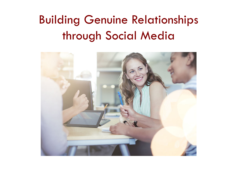# Building Genuine Relationships through Social Media

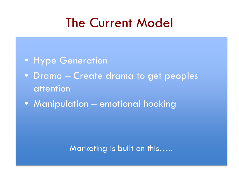# The Current Model

- Hype Generation
- Drama Create drama to get peoples attention
- Manipulation emotional hooking

#### Marketing is built on this…..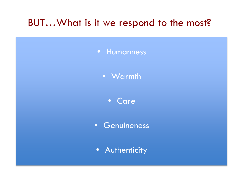#### BUT…What is it we respond to the most?



• Warmth

• Care

• Genuineness

• Authenticity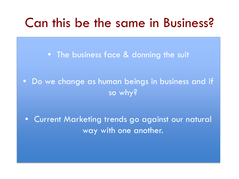### Can this be the same in Business?

• The business face & donning the suit

• Do we change as human beings in business and if so why?

• Current Marketing trends go against our natural way with one another.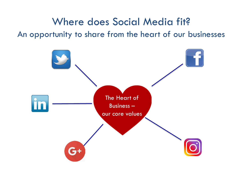Where does Social Media fit? An opportunity to share from the heart of our businesses

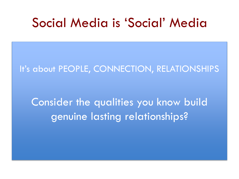### Social Media is 'Social' Media

It's about PEOPLE, CONNECTION, RELATIONSHIPS

Consider the qualities you know build genuine lasting relationships?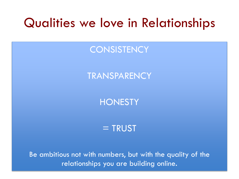### Qualities we love in Relationships

#### **CONSISTENCY**

#### **TRANSPARENCY**

#### **HONESTY**

#### $=$  TRUST

Be ambitious not with numbers, but with the quality of the relationships you are building online.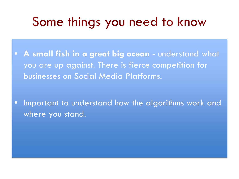# Some things you need to know

• **A small fish in a great big ocean** - understand what you are up against. There is fierce competition for businesses on Social Media Platforms.

Important to understand how the algorithms work and where you stand.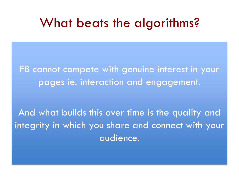### What beats the algorithms?

FB cannot compete with genuine interest in your pages ie. interaction and engagement.

And what builds this over time is the quality and integrity in which you share and connect with your audience.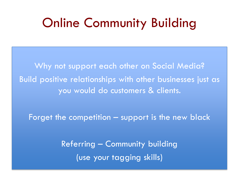## Online Community Building

Why not support each other on Social Media? Build positive relationships with other businesses just as you would do customers & clients.

Forget the competition – support is the new black

Referring – Community building (use your tagging skills)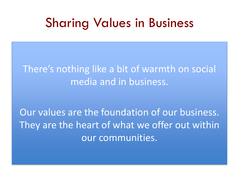### Sharing Values in Business

### There's nothing like a bit of warmth on social media and in business.

Our values are the foundation of our business. They are the heart of what we offer out within our communities.